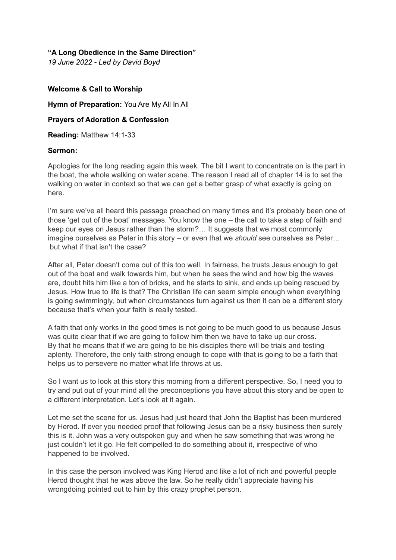## **"A Long Obedience in the Same Direction"**

*19 June 2022 - Led by David Boyd*

## **Welcome & Call to Worship**

**Hymn of Preparation:** You Are My All In All

## **Prayers of Adoration & Confession**

**Reading:** Matthew 14:1-33

## **Sermon:**

Apologies for the long reading again this week. The bit I want to concentrate on is the part in the boat, the whole walking on water scene. The reason I read all of chapter 14 is to set the walking on water in context so that we can get a better grasp of what exactly is going on here.

I'm sure we've all heard this passage preached on many times and it's probably been one of those 'get out of the boat' messages. You know the one – the call to take a step of faith and keep our eyes on Jesus rather than the storm?… It suggests that we most commonly imagine ourselves as Peter in this story – or even that we *should* see ourselves as Peter… but what if that isn't the case?

After all, Peter doesn't come out of this too well. In fairness, he trusts Jesus enough to get out of the boat and walk towards him, but when he sees the wind and how big the waves are, doubt hits him like a ton of bricks, and he starts to sink, and ends up being rescued by Jesus. How true to life is that? The Christian life can seem simple enough when everything is going swimmingly, but when circumstances turn against us then it can be a different story because that's when your faith is really tested.

A faith that only works in the good times is not going to be much good to us because Jesus was quite clear that if we are going to follow him then we have to take up our cross. By that he means that if we are going to be his disciples there will be trials and testing aplenty. Therefore, the only faith strong enough to cope with that is going to be a faith that helps us to persevere no matter what life throws at us.

So I want us to look at this story this morning from a different perspective. So, I need you to try and put out of your mind all the preconceptions you have about this story and be open to a different interpretation. Let's look at it again.

Let me set the scene for us. Jesus had just heard that John the Baptist has been murdered by Herod. If ever you needed proof that following Jesus can be a risky business then surely this is it. John was a very outspoken guy and when he saw something that was wrong he just couldn't let it go. He felt compelled to do something about it, irrespective of who happened to be involved.

In this case the person involved was King Herod and like a lot of rich and powerful people Herod thought that he was above the law. So he really didn't appreciate having his wrongdoing pointed out to him by this crazy prophet person.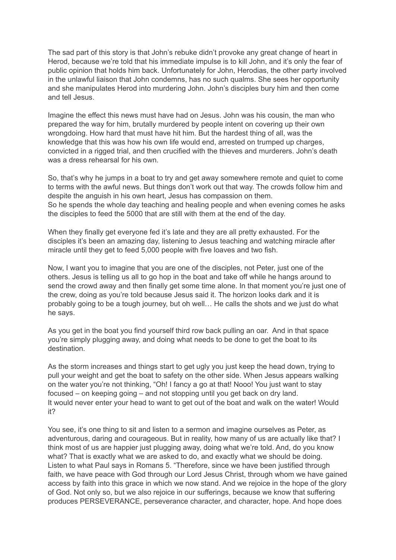The sad part of this story is that John's rebuke didn't provoke any great change of heart in Herod, because we're told that his immediate impulse is to kill John, and it's only the fear of public opinion that holds him back. Unfortunately for John, Herodias, the other party involved in the unlawful liaison that John condemns, has no such qualms. She sees her opportunity and she manipulates Herod into murdering John. John's disciples bury him and then come and tell Jesus.

Imagine the effect this news must have had on Jesus. John was his cousin, the man who prepared the way for him, brutally murdered by people intent on covering up their own wrongdoing. How hard that must have hit him. But the hardest thing of all, was the knowledge that this was how his own life would end, arrested on trumped up charges, convicted in a rigged trial, and then crucified with the thieves and murderers. John's death was a dress rehearsal for his own.

So, that's why he jumps in a boat to try and get away somewhere remote and quiet to come to terms with the awful news. But things don't work out that way. The crowds follow him and despite the anguish in his own heart, Jesus has compassion on them. So he spends the whole day teaching and healing people and when evening comes he asks the disciples to feed the 5000 that are still with them at the end of the day.

When they finally get everyone fed it's late and they are all pretty exhausted. For the disciples it's been an amazing day, listening to Jesus teaching and watching miracle after miracle until they get to feed 5,000 people with five loaves and two fish.

Now, I want you to imagine that you are one of the disciples, not Peter, just one of the others. Jesus is telling us all to go hop in the boat and take off while he hangs around to send the crowd away and then finally get some time alone. In that moment you're just one of the crew, doing as you're told because Jesus said it. The horizon looks dark and it is probably going to be a tough journey, but oh well… He calls the shots and we just do what he says.

As you get in the boat you find yourself third row back pulling an oar. And in that space you're simply plugging away, and doing what needs to be done to get the boat to its destination.

As the storm increases and things start to get ugly you just keep the head down, trying to pull your weight and get the boat to safety on the other side. When Jesus appears walking on the water you're not thinking, "Oh! I fancy a go at that! Nooo! You just want to stay focused – on keeping going – and not stopping until you get back on dry land. It would never enter your head to want to get out of the boat and walk on the water! Would it?

You see, it's one thing to sit and listen to a sermon and imagine ourselves as Peter, as adventurous, daring and courageous. But in reality, how many of us are actually like that? I think most of us are happier just plugging away, doing what we're told. And, do you know what? That is exactly what we are asked to do, and exactly what we should be doing. Listen to what Paul says in Romans 5. "Therefore, since we have been justified through faith, we have peace with God through our Lord Jesus Christ, through whom we have gained access by faith into this grace in which we now stand. And we rejoice in the hope of the glory of God. Not only so, but we also rejoice in our sufferings, because we know that suffering produces PERSEVERANCE, perseverance character, and character, hope. And hope does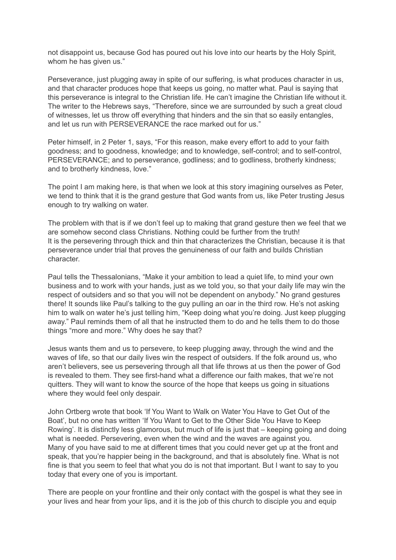not disappoint us, because God has poured out his love into our hearts by the Holy Spirit, whom he has given us."

Perseverance, just plugging away in spite of our suffering, is what produces character in us, and that character produces hope that keeps us going, no matter what. Paul is saying that this perseverance is integral to the Christian life. He can't imagine the Christian life without it. The writer to the Hebrews says, "Therefore, since we are surrounded by such a great cloud of witnesses, let us throw off everything that hinders and the sin that so easily entangles, and let us run with PERSEVERANCE the race marked out for us."

Peter himself, in 2 Peter 1, says, "For this reason, make every effort to add to your faith goodness; and to goodness, knowledge; and to knowledge, self-control; and to self-control, PERSEVERANCE; and to perseverance, godliness; and to godliness, brotherly kindness; and to brotherly kindness, love."

The point I am making here, is that when we look at this story imagining ourselves as Peter, we tend to think that it is the grand gesture that God wants from us, like Peter trusting Jesus enough to try walking on water.

The problem with that is if we don't feel up to making that grand gesture then we feel that we are somehow second class Christians. Nothing could be further from the truth! It is the persevering through thick and thin that characterizes the Christian, because it is that perseverance under trial that proves the genuineness of our faith and builds Christian character.

Paul tells the Thessalonians, "Make it your ambition to lead a quiet life, to mind your own business and to work with your hands, just as we told you, so that your daily life may win the respect of outsiders and so that you will not be dependent on anybody." No grand gestures there! It sounds like Paul's talking to the guy pulling an oar in the third row. He's not asking him to walk on water he's just telling him, "Keep doing what you're doing. Just keep plugging away." Paul reminds them of all that he instructed them to do and he tells them to do those things "more and more." Why does he say that?

Jesus wants them and us to persevere, to keep plugging away, through the wind and the waves of life, so that our daily lives win the respect of outsiders. If the folk around us, who aren't believers, see us persevering through all that life throws at us then the power of God is revealed to them. They see first-hand what a difference our faith makes, that we're not quitters. They will want to know the source of the hope that keeps us going in situations where they would feel only despair.

John Ortberg wrote that book 'If You Want to Walk on Water You Have to Get Out of the Boat', but no one has written 'If You Want to Get to the Other Side You Have to Keep Rowing'. It is distinctly less glamorous, but much of life is just that – keeping going and doing what is needed. Persevering, even when the wind and the waves are against you. Many of you have said to me at different times that you could never get up at the front and speak, that you're happier being in the background, and that is absolutely fine. What is not fine is that you seem to feel that what you do is not that important. But I want to say to you today that every one of you is important.

There are people on your frontline and their only contact with the gospel is what they see in your lives and hear from your lips, and it is the job of this church to disciple you and equip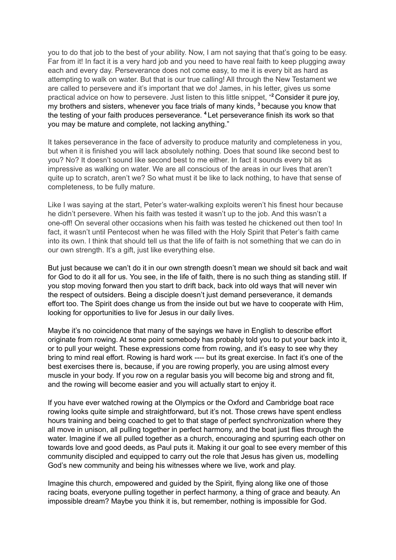you to do that job to the best of your ability. Now, I am not saying that that's going to be easy. Far from it! In fact it is a very hard job and you need to have real faith to keep plugging away each and every day. Perseverance does not come easy, to me it is every bit as hard as attempting to walk on water. But that is our true calling! All through the New Testament we are called to persevere and it's important that we do! James, in his letter, gives us some practical advice on how to persevere. Just listen to this little snippet, " **<sup>2</sup>** Consider it pure joy, my brothers and sisters, whenever you face trials of many kinds, **<sup>3</sup>** because you know that the testing of your faith produces perseverance. **<sup>4</sup>** Let perseverance finish its work so that you may be mature and complete, not lacking anything."

It takes perseverance in the face of adversity to produce maturity and completeness in you, but when it is finished you will lack absolutely nothing. Does that sound like second best to you? No? It doesn't sound like second best to me either. In fact it sounds every bit as impressive as walking on water. We are all conscious of the areas in our lives that aren't quite up to scratch, aren't we? So what must it be like to lack nothing, to have that sense of completeness, to be fully mature.

Like I was saying at the start, Peter's water-walking exploits weren't his finest hour because he didn't persevere. When his faith was tested it wasn't up to the job. And this wasn't a one-off! On several other occasions when his faith was tested he chickened out then too! In fact, it wasn't until Pentecost when he was filled with the Holy Spirit that Peter's faith came into its own. I think that should tell us that the life of faith is not something that we can do in our own strength. It's a gift, just like everything else.

But just because we can't do it in our own strength doesn't mean we should sit back and wait for God to do it all for us. You see, in the life of faith, there is no such thing as standing still. If you stop moving forward then you start to drift back, back into old ways that will never win the respect of outsiders. Being a disciple doesn't just demand perseverance, it demands effort too. The Spirit does change us from the inside out but we have to cooperate with Him, looking for opportunities to live for Jesus in our daily lives.

Maybe it's no coincidence that many of the sayings we have in English to describe effort originate from rowing. At some point somebody has probably told you to put your back into it, or to pull your weight. These expressions come from rowing, and it's easy to see why they bring to mind real effort. Rowing is hard work ---- but its great exercise. In fact it's one of the best exercises there is, because, if you are rowing properly, you are using almost every muscle in your body. If you row on a regular basis you will become big and strong and fit, and the rowing will become easier and you will actually start to enjoy it.

If you have ever watched rowing at the Olympics or the Oxford and Cambridge boat race rowing looks quite simple and straightforward, but it's not. Those crews have spent endless hours training and being coached to get to that stage of perfect synchronization where they all move in unison, all pulling together in perfect harmony, and the boat just flies through the water. Imagine if we all pulled together as a church, encouraging and spurring each other on towards love and good deeds, as Paul puts it. Making it our goal to see every member of this community discipled and equipped to carry out the role that Jesus has given us, modelling God's new community and being his witnesses where we live, work and play.

Imagine this church, empowered and guided by the Spirit, flying along like one of those racing boats, everyone pulling together in perfect harmony, a thing of grace and beauty. An impossible dream? Maybe you think it is, but remember, nothing is impossible for God.